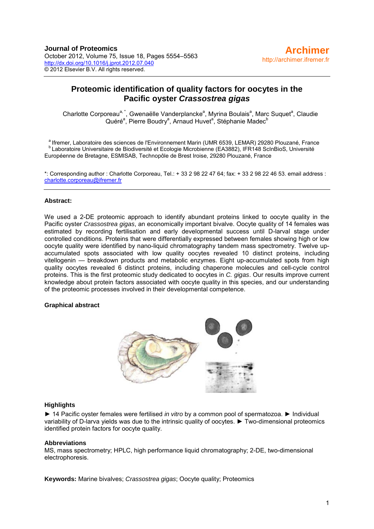## **Proteomic identification of quality factors for oocytes in the Pacific oyster** *Crassostrea gigas*

Charlotte Corporeau<sup>a, \*</sup>, Gwenaëlle Vanderplancke<sup>a</sup>, Myrina Boulais<sup>a</sup>, Marc Suquet<sup>a</sup>, Claudie Quéré<sup>a</sup>, Pierre Boudry<sup>a</sup>, Arnaud Huvet<sup>a</sup>, Stéphanie Madec<sup>b</sup>

<sup>a</sup> Ifremer, Laboratoire des sciences de l'Environnement Marin (UMR 6539, LEMAR) 29280 Plouzané, France<br><sup>b</sup> Laboratoire Universitaire de Biodiversité et Ecologie Microbienne (EA3882), IFR148 ScInBioS, Université Européenne de Bretagne, ESMISAB, Technopôle de Brest Iroise, 29280 Plouzané, France

\*: Corresponding author : Charlotte Corporeau, Tel.: + 33 2 98 22 47 64; fax: + 33 2 98 22 46 53. email address : [charlotte.corporeau@ifremer.fr](mailto:charlotte.corporeau@ifremer.fr)

#### **Abstract:**

We used a 2-DE proteomic approach to identify abundant proteins linked to oocyte quality in the Pacific oyster *Crassostrea gigas*, an economically important bivalve. Oocyte quality of 14 females was estimated by recording fertilisation and early developmental success until D-larval stage under controlled conditions. Proteins that were differentially expressed between females showing high or low oocyte quality were identified by nano-liquid chromatography tandem mass spectrometry. Twelve upaccumulated spots associated with low quality oocytes revealed 10 distinct proteins, including vitellogenin — breakdown products and metabolic enzymes. Eight up-accumulated spots from high quality oocytes revealed 6 distinct proteins, including chaperone molecules and cell-cycle control proteins. This is the first proteomic study dedicated to oocytes in *C. gigas*. Our results improve current knowledge about protein factors associated with oocyte quality in this species, and our understanding of the proteomic processes involved in their developmental competence.

#### **Graphical abstract**



#### **Highlights**

► 14 Pacific oyster females were fertilised *in vitro* by a common pool of spermatozoa. ► Individual variability of D-larva yields was due to the intrinsic quality of oocytes. ► Two-dimensional proteomics identified protein factors for oocyte quality.

#### **Abbreviations**

MS, mass spectrometry; HPLC, high performance liquid chromatography; 2-DE, two-dimensional electrophoresis.

**Keywords:** Marine bivalves; *Crassostrea gigas*; Oocyte quality; Proteomics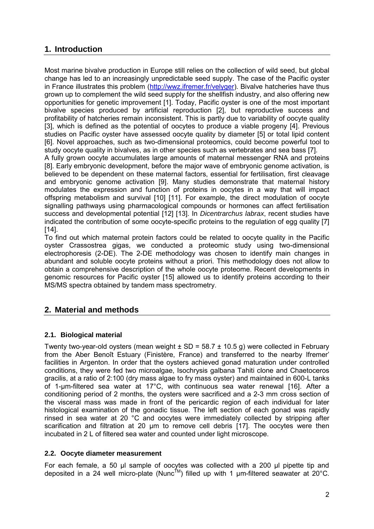# **1. Introduction**

Most marine bivalve production in Europe still relies on the collection of wild seed, but global change has led to an increasingly unpredictable seed supply. The case of the Pacific oyster in France illustrates this problem [\(http://wwz.ifremer.fr/velyger\)](http://wwz.ifremer.fr/velyger). Bivalve hatcheries have thus grown up to complement the wild seed supply for the shellfish industry, and also offering new opportunities for genetic improvement [1]. Today, Pacific oyster is one of the most important bivalve species produced by artificial reproduction [2], but reproductive success and profitability of hatcheries remain inconsistent. This is partly due to variability of oocyte quality [3], which is defined as the potential of oocytes to produce a viable progeny [4]. Previous studies on Pacific oyster have assessed oocyte quality by diameter [5] or total lipid content [6]. Novel approaches, such as two-dimensional proteomics, could become powerful tool to study oocyte quality in bivalves, as in other species such as vertebrates and sea bass [7].

A fully grown oocyte accumulates large amounts of maternal messenger RNA and proteins [8]. Early embryonic development, before the major wave of embryonic genome activation, is believed to be dependent on these maternal factors, essential for fertilisation, first cleavage and embryonic genome activation [9]. Many studies demonstrate that maternal history modulates the expression and function of proteins in oocytes in a way that will impact offspring metabolism and survival [10] [11]. For example, the direct modulation of oocyte signalling pathways using pharmacological compounds or hormones can affect fertilisation success and developmental potential [12] [13]. In *Dicentrarchus labrax*, recent studies have indicated the contribution of some oocyte-specific proteins to the regulation of egg quality [7] [14].

To find out which maternal protein factors could be related to oocyte quality in the Pacific oyster Crassostrea gigas, we conducted a proteomic study using two-dimensional electrophoresis (2-DE). The 2-DE methodology was chosen to identify main changes in abundant and soluble oocyte proteins without a priori. This methodology does not allow to obtain a comprehensive description of the whole oocyte proteome. Recent developments in genomic resources for Pacific oyster [15] allowed us to identify proteins according to their MS/MS spectra obtained by tandem mass spectrometry.

## **2. Material and methods**

## **2.1. Biological material**

Twenty two-year-old oysters (mean weight  $\pm$  SD = 58.7  $\pm$  10.5 g) were collected in February from the Aber Benoît Estuary (Finistère, France) and transferred to the nearby Ifremer' facilities in Argenton. In order that the oysters achieved gonad maturation under controlled conditions, they were fed two microalgae, Isochrysis galbana Tahiti clone and Chaetoceros gracilis, at a ratio of 2:100 (dry mass algae to fry mass oyster) and maintained in 600-L tanks of 1-µm-filtered sea water at 17°C, with continuous sea water renewal [16]. After a conditioning period of 2 months, the oysters were sacrificed and a 2-3 mm cross section of the visceral mass was made in front of the pericardic region of each individual for later histological examination of the gonadic tissue. The left section of each gonad was rapidly rinsed in sea water at 20 °C and oocytes were immediately collected by stripping after scarification and filtration at 20 µm to remove cell debris [17]. The oocytes were then incubated in 2 L of filtered sea water and counted under light microscope.

## **2.2. Oocyte diameter measurement**

For each female, a 50 µl sample of oocytes was collected with a 200 µl pipette tip and deposited in a 24 well micro-plate (Nunc<sup>TM</sup>) filled up with 1  $\mu$ m-filtered seawater at 20°C.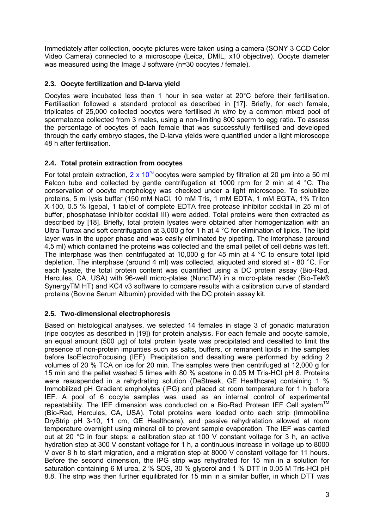Immediately after collection, oocyte pictures were taken using a camera (SONY 3 CCD Color Video Camera) connected to a microscope (Leica, DMIL, x10 objective). Oocyte diameter was measured using the Image J software (n=30 oocytes / female).

## **2.3. Oocyte fertilization and D-larva yield**

Oocytes were incubated less than 1 hour in sea water at 20°C before their fertilisation. Fertilisation followed a standard protocol as described in [17]. Briefly, for each female, triplicates of 25,000 collected oocytes were fertilised *in vitro* by a common mixed pool of spermatozoa collected from 3 males, using a non-limiting 800 sperm to egg ratio. To assess the percentage of oocytes of each female that was successfully fertilised and developed through the early embryo stages, the D-larva yields were quantified under a light microscope 48 h after fertilisation.

## **2.4. Total protein extraction from oocytes**

For total protein extraction, 2 x 10<sup> $\degree$ </sup> oocytes were sampled by filtration at 20 µm into a 50 ml Falcon tube and collected by gentle centrifugation at 1000 rpm for 2 min at 4 °C. The conservation of oocyte morphology was checked under a light microscope. To solubilize proteins, 5 ml lysis buffer (150 mM NaCl, 10 mM Tris, 1 mM EDTA, 1 mM EGTA, 1% Triton X-100, 0.5 % Igepal, 1 tablet of complete EDTA free protease inhibitor cocktail in 25 ml of buffer, phosphatase inhibitor cocktail III) were added. Total proteins were then extracted as described by [18]. Briefly, total protein lysates were obtained after homogenization with an Ultra-Turrax and soft centrifugation at 3,000 g for 1 h at 4 °C for elimination of lipids. The lipid layer was in the upper phase and was easily eliminated by pipeting. The interphase (around 4,5 ml) which contained the proteins was collected and the small pellet of cell debris was left. The interphase was then centrifugated at 10,000 g for 45 min at 4 °C to ensure total lipid depletion. The interphase (around 4 ml) was collected, aliquoted and stored at - 80 °C. For each lysate, the total protein content was quantified using a DC protein assay (Bio-Rad, Hercules, CA, USA) with 96-well micro-plates (NuncTM) in a micro-plate reader (Bio-Tek® SynergyTM HT) and KC4 v3 software to compare results with a calibration curve of standard proteins (Bovine Serum Albumin) provided with the DC protein assay kit.

## **2.5. Two-dimensional electrophoresis**

Based on histological analyses, we selected 14 females in stage 3 of gonadic maturation (ripe oocytes as described in [19]) for protein analysis. For each female and oocyte sample, an equal amount (500 µg) of total protein lysate was precipitated and desalted to limit the presence of non-protein impurities such as salts, buffers, or remanent lipids in the samples before IsoElectroFocusing (IEF). Precipitation and desalting were performed by adding 2 volumes of 20 % TCA on ice for 20 min. The samples were then centrifuged at 12,000 g for 15 min and the pellet washed 5 times with 80 % acetone in 0.05 M Tris-HCl pH 8. Proteins were resuspended in a rehydrating solution (DeStreak, GE Healthcare) containing 1 % Immobilized pH Gradient ampholytes (IPG) and placed at room temperature for 1 h before IEF. A pool of 6 oocyte samples was used as an internal control of experimental repeatability. The IEF dimension was conducted on a Bio-Rad Protean IEF Cell system™ (Bio-Rad, Hercules, CA, USA). Total proteins were loaded onto each strip (Immobiline DryStrip pH 3-10, 11 cm, GE Healthcare), and passive rehydratation allowed at room temperature overnight using mineral oil to prevent sample evaporation. The IEF was carried out at 20 °C in four steps: a calibration step at 100 V constant voltage for 3 h, an active hydration step at 300 V constant voltage for 1 h, a continuous increase in voltage up to 8000 V over 8 h to start migration, and a migration step at 8000 V constant voltage for 11 hours. Before the second dimension, the IPG strip was rehydrated for 15 min in a solution for saturation containing 6 M urea, 2 % SDS, 30 % glycerol and 1 % DTT in 0.05 M Tris-HCl pH 8.8. The strip was then further equilibrated for 15 min in a similar buffer, in which DTT was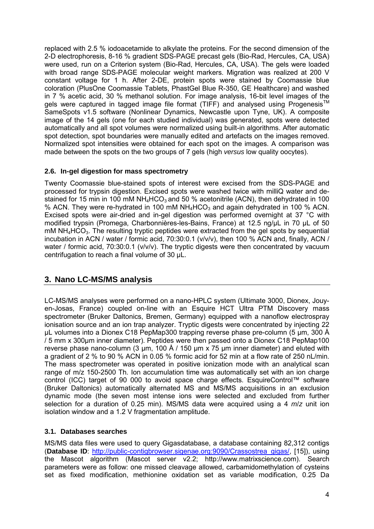replaced with 2.5 % iodoacetamide to alkylate the proteins. For the second dimension of the 2-D electrophoresis, 8-16 % gradient SDS-PAGE precast gels (Bio-Rad, Hercules, CA, USA) were used, run on a Criterion system (Bio-Rad, Hercules, CA, USA). The gels were loaded with broad range SDS-PAGE molecular weight markers. Migration was realized at 200 V constant voltage for 1 h. After 2-DE, protein spots were stained by Coomassie blue coloration (PlusOne Coomassie Tablets, PhastGel Blue R-350, GE Healthcare) and washed in 7 % acetic acid, 30 % methanol solution. For image analysis, 16-bit level images of the gels were captured in tagged image file format (TIFF) and analysed using Progenesis<sup>TM</sup> SameSpots v1.5 software (Nonlinear Dynamics, Newcastle upon Tyne, UK). A composite image of the 14 gels (one for each studied individual) was generated, spots were detected automatically and all spot volumes were normalized using built-in algorithms. After automatic spot detection, spot boundaries were manually edited and artefacts on the images removed. Normalized spot intensities were obtained for each spot on the images. A comparison was made between the spots on the two groups of 7 gels (high *versus* low quality oocytes).

#### **2.6. In-gel digestion for mass spectrometry**

Twenty Coomassie blue-stained spots of interest were excised from the SDS-PAGE and processed for trypsin digestion. Excised spots were washed twice with milliQ water and destained for 15 min in 100 mM NH<sub>4</sub>HCO<sub>3</sub> and 50 % acetonitrile (ACN), then dehydrated in 100 % ACN. They were re-hydrated in 100 mM  $NH_4HCO_3$  and again dehydrated in 100 % ACN. Excised spots were air-dried and in-gel digestion was performed overnight at 37 °C with modified trypsin (Promega, Charbonnières-les-Bains, France) at 12.5 ng/µL in 70 µL of 50  $m$ M NH $_{4}$ HCO<sub>3</sub>. The resulting tryptic peptides were extracted from the gel spots by sequential incubation in ACN / water / formic acid, 70:30:0.1 (v/v/v), then 100 % ACN and, finally, ACN / water / formic acid, 70:30:0.1 (v/v/v). The tryptic digests were then concentrated by vacuum centrifugation to reach a final volume of 30 µL.

## **3. Nano LC-MS/MS analysis**

LC-MS/MS analyses were performed on a nano-HPLC system (Ultimate 3000, Dionex, Jouyen-Josas, France) coupled on-line with an Esquire HCT Ultra PTM Discovery mass spectrometer (Bruker Daltonics, Bremen, Germany) equipped with a nanoflow electrospray ionisation source and an ion trap analyzer. Tryptic digests were concentrated by injecting 22 µL volumes into a Dionex C18 PepMap300 trapping reverse phase pre-column (5 µm, 300 Å / 5 mm x 300µm inner diameter). Peptides were then passed onto a Dionex C18 PepMap100 reverse phase nano-column (3  $\mu$ m, 100 Å / 150  $\mu$ m x 75  $\mu$ m inner diameter) and eluted with a gradient of 2 % to 90 % ACN in 0.05 % formic acid for 52 min at a flow rate of 250 nL/min. The mass spectrometer was operated in positive ionization mode with an analytical scan range of m/z 150-2500 Th. Ion accumulation time was automatically set with an ion charge control (ICC) target of 90 000 to avoid space charge effects. EsquireControl™ software (Bruker Daltonics) automatically alternated MS and MS/MS acquisitions in an exclusion dynamic mode (the seven most intense ions were selected and excluded from further selection for a duration of 0.25 min). MS/MS data were acquired using a 4 *m*/*z* unit ion isolation window and a 1.2 V fragmentation amplitude.

## **3.1. Databases searches**

MS/MS data files were used to query Gigasdatabase, a database containing 82,312 contigs (**Database ID**: [http://public-contigbrowser.sigenae.org:9090/Crassostrea\\_gigas/,](http://public-contigbrowser.sigenae.org:9090/Crassostrea_gigas/) [15]), using the Mascot algorithm (Mascot server v2.2; http://www.matrixscience.com). Search parameters were as follow: one missed cleavage allowed, carbamidomethylation of cysteins set as fixed modification, methionine oxidation set as variable modification, 0.25 Da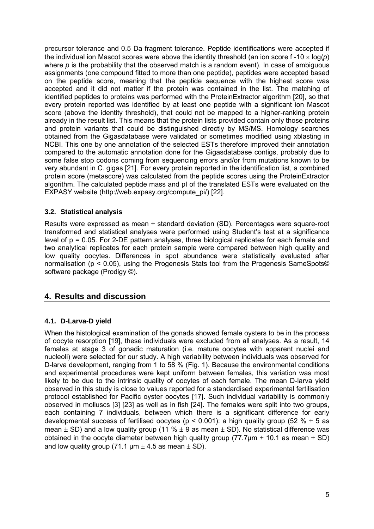precursor tolerance and 0.5 Da fragment tolerance. Peptide identifications were accepted if the individual ion Mascot scores were above the identity threshold (an ion score  $f -10 \times \log(p)$ ) where *p* is the probability that the observed match is a random event). In case of ambiguous assignments (one compound fitted to more than one peptide), peptides were accepted based on the peptide score, meaning that the peptide sequence with the highest score was accepted and it did not matter if the protein was contained in the list. The matching of identified peptides to proteins was performed with the ProteinExtractor algorithm [20], so that every protein reported was identified by at least one peptide with a significant ion Mascot score (above the identity threshold), that could not be mapped to a higher-ranking protein already in the result list. This means that the protein lists provided contain only those proteins and protein variants that could be distinguished directly by MS/MS. Homology searches obtained from the Gigasdatabase were validated or sometimes modified using xblasting in NCBI. This one by one annotation of the selected ESTs therefore improved their annotation compared to the automatic annotation done for the Gigasdatabase contigs, probably due to some false stop codons coming from sequencing errors and/or from mutations known to be very abundant in C. gigas [21]. For every protein reported in the identification list, a combined protein score (metascore) was calculated from the peptide scores using the ProteinExtractor algorithm. The calculated peptide mass and pI of the translated ESTs were evaluated on the EXPASY website (http://web.expasy.org/compute\_pi/) [22].

## **3.2. Statistical analysis**

Results were expressed as mean  $\pm$  standard deviation (SD). Percentages were square-root transformed and statistical analyses were performed using Student's test at a significance level of p = 0.05. For 2-DE pattern analyses, three biological replicates for each female and two analytical replicates for each protein sample were compared between high quality and low quality oocytes. Differences in spot abundance were statistically evaluated after normalisation (p < 0.05), using the Progenesis Stats tool from the Progenesis SameSpots© software package (Prodigy ©).

## **4. Results and discussion**

## **4.1. D-Larva-D yield**

When the histological examination of the gonads showed female oysters to be in the process of oocyte resorption [19], these individuals were excluded from all analyses. As a result, 14 females at stage 3 of gonadic maturation (i.e. mature oocytes with apparent nuclei and nucleoli) were selected for our study. A high variability between individuals was observed for D-larva development, ranging from 1 to 58 % (Fig. 1). Because the environmental conditions and experimental procedures were kept uniform between females, this variation was most likely to be due to the intrinsic quality of oocytes of each female. The mean D-larva yield observed in this study is close to values reported for a standardised experimental fertilisation protocol established for Pacific oyster oocytes [17]. Such individual variability is commonly observed in molluscs [3] [23] as well as in fish [24]. The females were split into two groups, each containing 7 individuals, between which there is a significant difference for early developmental success of fertilised oocytes ( $p < 0.001$ ): a high quality group (52 %  $\pm$  5 as mean  $\pm$  SD) and a low quality group (11 %  $\pm$  9 as mean  $\pm$  SD). No statistical difference was obtained in the oocyte diameter between high quality group (77.7 $\mu$ m  $\pm$  10.1 as mean  $\pm$  SD) and low quality group (71.1  $\mu$ m  $\pm$  4.5 as mean  $\pm$  SD).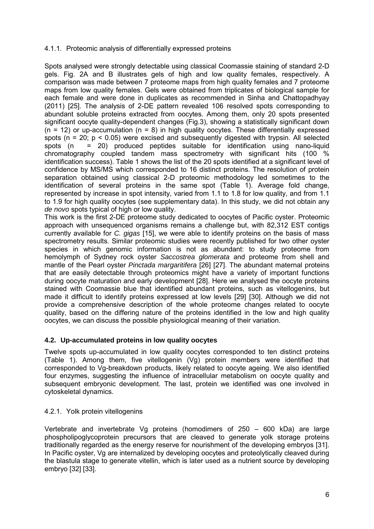#### 4.1.1. Proteomic analysis of differentially expressed proteins

Spots analysed were strongly detectable using classical Coomassie staining of standard 2-D gels. Fig. 2A and B illustrates gels of high and low quality females, respectively. A comparison was made between 7 proteome maps from high quality females and 7 proteome maps from low quality females. Gels were obtained from triplicates of biological sample for each female and were done in duplicates as recommended in Sinha and Chattopadhyay (2011) [25]. The analysis of 2-DE pattern revealed 106 resolved spots corresponding to abundant soluble proteins extracted from oocytes. Among them, only 20 spots presented significant oocyte quality-dependent changes (Fig.3), showing a statistically significant down  $(n = 12)$  or up-accumulation  $(n = 8)$  in high quality oocytes. These differentially expressed spots ( $n = 20$ ;  $p < 0.05$ ) were excised and subsequently digested with trypsin. All selected spots (n = 20) produced peptides suitable for identification using nano-liquid chromatography coupled tandem mass spectrometry with significant hits (100 % identification success). Table 1 shows the list of the 20 spots identified at a significant level of confidence by MS/MS which corresponded to 16 distinct proteins. The resolution of protein separation obtained using classical 2-D proteomic methodology led sometimes to the identification of several proteins in the same spot (Table 1). Average fold change, represented by increase in spot intensity, varied from 1.1 to 1.8 for low quality, and from 1.1 to 1.9 for high quality oocytes (see supplementary data). In this study, we did not obtain any *de novo* spots typical of high or low quality.

This work is the first 2-DE proteome study dedicated to oocytes of Pacific oyster. Proteomic approach with unsequenced organisms remains a challenge but, with 82,312 EST contigs currently available for *C. gigas* [15], we were able to identify proteins on the basis of mass spectrometry results. Similar proteomic studies were recently published for two other oyster species in which genomic information is not as abundant: to study proteome from hemolymph of Sydney rock oyster *Saccostrea glomerata* and proteome from shell and mantle of the Pearl oyster *Pinctada margaritifera* [26] [27]. The abundant maternal proteins that are easily detectable through proteomics might have a variety of important functions during oocyte maturation and early development [28]. Here we analysed the oocyte proteins stained with Coomassie blue that identified abundant proteins, such as vitellogenins, but made it difficult to identify proteins expressed at low levels [29] [30]. Although we did not provide a comprehensive description of the whole proteome changes related to oocyte quality, based on the differing nature of the proteins identified in the low and high quality oocytes, we can discuss the possible physiological meaning of their variation.

## **4.2. Up-accumulated proteins in low quality oocytes**

Twelve spots up-accumulated in low quality oocytes corresponded to ten distinct proteins (Table 1). Among them, five vitellogenin (Vg) protein members were identified that corresponded to Vg-breakdown products, likely related to oocyte ageing. We also identified four enzymes, suggesting the influence of intracellular metabolism on oocyte quality and subsequent embryonic development. The last, protein we identified was one involved in cytoskeletal dynamics.

## 4.2.1. Yolk protein vitellogenins

Vertebrate and invertebrate Vg proteins (homodimers of 250 – 600 kDa) are large phospholipoglycoprotein precursors that are cleaved to generate yolk storage proteins traditionally regarded as the energy reserve for nourishment of the developing embryos [31]. In Pacific oyster, Vg are internalized by developing oocytes and proteolytically cleaved during the blastula stage to generate vitellin, which is later used as a nutrient source by developing embryo [32] [33].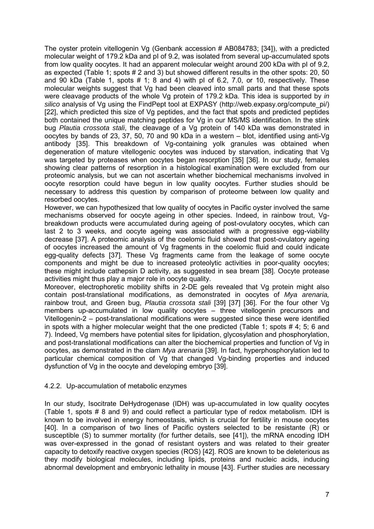The oyster protein vitellogenin Vg (Genbank accession # AB084783; [34]), with a predicted molecular weight of 179.2 kDa and pI of 9.2, was isolated from several up-accumulated spots from low quality oocytes. It had an apparent molecular weight around 200 kDa with pI of 9.2, as expected (Table 1; spots # 2 and 3) but showed different results in the other spots: 20, 50 and 90 kDa (Table 1, spots # 1; 8 and 4) with pI of 6.2, 7.0, or 10, respectively. These molecular weights suggest that Vg had been cleaved into small parts and that these spots were cleavage products of the whole Vg protein of 179.2 kDa. This idea is supported by *in silico* analysis of Vg using the FindPept tool at EXPASY (http://web.expasy.org/compute\_pi/) [22], which predicted this size of Vg peptides, and the fact that spots and predicted peptides both contained the unique matching peptides for Vg in our MS/MS identification. In the stink bug *Plautia crossota stali*, the cleavage of a Vg protein of 140 kDa was demonstrated in oocytes by bands of 23, 37, 50, 70 and 90 kDa in a western – blot, identified using anti-Vg antibody [35]. This breakdown of Vg-containing yolk granules was obtained when degeneration of mature vitellogenic oocytes was induced by starvation, indicating that Vg was targeted by proteases when oocytes began resorption [35] [36]. In our study, females showing clear patterns of resorption in a histological examination were excluded from our proteomic analysis, but we can not ascertain whether biochemical mechanisms involved in oocyte resorption could have begun in low quality oocytes. Further studies should be necessary to address this question by comparison of proteome between low quality and resorbed oocytes.

However, we can hypothesized that low quality of oocytes in Pacific oyster involved the same mechanisms observed for oocyte ageing in other species. Indeed, in rainbow trout, Vgbreakdown products were accumulated during ageing of post-ovulatory oocytes, which can last 2 to 3 weeks, and oocyte ageing was associated with a progressive egg-viability decrease [37]. A proteomic analysis of the coelomic fluid showed that post-ovulatory ageing of oocytes increased the amount of Vg fragments in the coelomic fluid and could indicate egg-quality defects [37]. These Vg fragments came from the leakage of some oocyte components and might be due to increased proteolytic activities in poor-quality oocytes; these might include cathepsin D activity, as suggested in sea bream [38]. Oocyte protease activities might thus play a major role in oocyte quality.

Moreover, electrophoretic mobility shifts in 2-DE gels revealed that Vg protein might also contain post-translational modifications, as demonstrated in oocytes of *Mya arenaria,*  rainbow trout, and Green bug, *Plautia crossota stali* [39] [37] [36]. For the four other Vg members up-accumulated in low quality oocytes – three vitellogenin precursors and Vitellogenin-2 – post-translational modifications were suggested since these were identified in spots with a higher molecular weight that the one predicted (Table 1; spots # 4; 5; 6 and 7). Indeed, Vg members have potential sites for lipidation, glycosylation and phosphorylation, and post-translational modifications can alter the biochemical properties and function of Vg in oocytes, as demonstrated in the clam *Mya arenaria* [39]. In fact, hyperphosphorylation led to particular chemical composition of Vg that changed Vg-binding properties and induced dysfunction of Vg in the oocyte and developing embryo [39].

#### 4.2.2. Up-accumulation of metabolic enzymes

In our study, Isocitrate DeHydrogenase (IDH) was up-accumulated in low quality oocytes (Table 1, spots # 8 and 9) and could reflect a particular type of redox metabolism. IDH is known to be involved in energy homeostasis, which is crucial for fertility in mouse oocytes [40]. In a comparison of two lines of Pacific oysters selected to be resistante (R) or susceptible (S) to summer mortality (for further details, see [41]), the mRNA encoding IDH was over-expressed in the gonad of resistant oysters and was related to their greater capacity to detoxify reactive oxygen species (ROS) [42]. ROS are known to be deleterious as they modify biological molecules, including lipids, proteins and nucleic acids, inducing abnormal development and embryonic lethality in mouse [43]. Further studies are necessary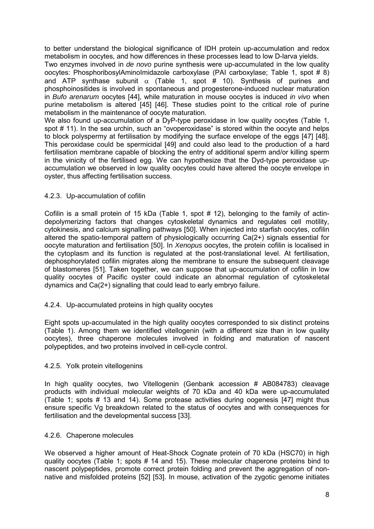to better understand the biological significance of IDH protein up-accumulation and redox metabolism in oocytes, and how differences in these processes lead to low D-larva yields.

Two enzymes involved in *de novo* purine synthesis were up-accumulated in the low quality oocytes: PhosphoribosylAminoImidazole carboxylase (PAI carboxylase; Table 1, spot # 8) and ATP synthase subunit  $\alpha$  (Table 1, spot # 10). Synthesis of purines and phosphoinositides is involved in spontaneous and progesterone-induced nuclear maturation in *Bufo arenarum* oocytes [44], while maturation in mouse oocytes is induced *in vivo* when purine metabolism is altered [45] [46]. These studies point to the critical role of purine metabolism in the maintenance of oocyte maturation.

We also found up-accumulation of a DyP-type peroxidase in low quality oocytes (Table 1, spot # 11). In the sea urchin, such an "ovoperoxidase" is stored within the oocyte and helps to block polyspermy at fertilisation by modifying the surface envelope of the eggs [47] [48]. This peroxidase could be spermicidal [49] and could also lead to the production of a hard fertilisation membrane capable of blocking the entry of additional sperm and/or killing sperm in the vinicity of the fertilised egg. We can hypothesize that the Dyd-type peroxidase upaccumulation we observed in low quality oocytes could have altered the oocyte envelope in oyster, thus affecting fertilisation success.

#### 4.2.3. Up-accumulation of cofilin

Cofilin is a small protein of 15 kDa (Table 1, spot # 12), belonging to the family of actindepolymerizing factors that changes cytoskeletal dynamics and regulates cell motility, cytokinesis, and calcium signalling pathways [50]. When injected into starfish oocytes, cofilin altered the spatio-temporal pattern of physiologically occurring Ca(2+) signals essential for oocyte maturation and fertilisation [50]. In *Xenopus* oocytes, the protein cofilin is localised in the cytoplasm and its function is regulated at the post-translational level. At fertilisation, dephosphorylated cofilin migrates along the membrane to ensure the subsequent cleavage of blastomeres [51]. Taken together, we can suppose that up-accumulation of cofilin in low quality oocytes of Pacific oyster could indicate an abnormal regulation of cytoskeletal dynamics and Ca(2+) signalling that could lead to early embryo failure.

#### 4.2.4. Up-accumulated proteins in high quality oocytes

Eight spots up-accumulated in the high quality oocytes corresponded to six distinct proteins (Table 1). Among them we identified vitellogenin (with a different size than in low quality oocytes), three chaperone molecules involved in folding and maturation of nascent polypeptides, and two proteins involved in cell-cycle control.

#### 4.2.5. Yolk protein vitellogenins

In high quality oocytes, two Vitellogenin (Genbank accession # AB084783) cleavage products with individual molecular weights of 70 kDa and 40 kDa were up-accumulated (Table 1; spots # 13 and 14). Some protease activities during oogenesis [47] might thus ensure specific Vg breakdown related to the status of oocytes and with consequences for fertilisation and the developmental success [33].

#### 4.2.6. Chaperone molecules

We observed a higher amount of Heat-Shock Cognate protein of 70 kDa (HSC70) in high quality oocytes (Table 1; spots # 14 and 15). These molecular chaperone proteins bind to nascent polypeptides, promote correct protein folding and prevent the aggregation of nonnative and misfolded proteins [52] [53]. In mouse, activation of the zygotic genome initiates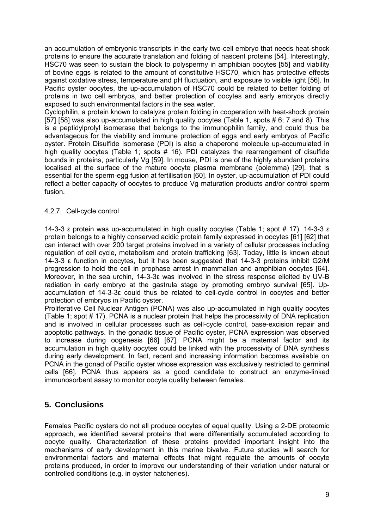an accumulation of embryonic transcripts in the early two-cell embryo that needs heat-shock proteins to ensure the accurate translation and folding of nascent proteins [54]. Interestingly, HSC70 was seen to sustain the block to polyspermy in amphibian oocytes [55] and viability of bovine eggs is related to the amount of constitutive HSC70, which has protective effects against oxidative stress, temperature and pH fluctuation, and exposure to visible light [56]. In Pacific oyster oocytes, the up-accumulation of HSC70 could be related to better folding of proteins in two cell embryos, and better protection of oocytes and early embryos directly exposed to such environmental factors in the sea water.

Cyclophilin, a protein known to catalyze protein folding in cooperation with heat-shock protein [57] [58] was also up-accumulated in high quality oocytes (Table 1, spots # 6; 7 and 8). This is a peptidylprolyl isomerase that belongs to the immunophilin family, and could thus be advantageous for the viability and immune protection of eggs and early embryos of Pacific oyster. Protein Disulfide Isomerase (PDI) is also a chaperone molecule up-accumulated in high quality oocytes (Table 1; spots # 16). PDI catalyzes the rearrangement of disulfide bounds in proteins, particularly Vg [59]. In mouse, PDI is one of the highly abundant proteins localised at the surface of the mature oocyte plasma membrane (oolemma) [29], that is essential for the sperm-egg fusion at fertilisation [60]. In oyster, up-accumulation of PDI could reflect a better capacity of oocytes to produce Vg maturation products and/or control sperm fusion.

## 4.2.7. Cell-cycle control

14-3-3 ε protein was up-accumulated in high quality oocytes (Table 1; spot # 17). 14-3-3 ε protein belongs to a highly conserved acidic protein family expressed in oocytes [61] [62] that can interact with over 200 target proteins involved in a variety of cellular processes including regulation of cell cycle, metabolism and protein trafficking [63]. Today, little is known about 14-3-3 ε function in oocytes, but it has been suggested that 14-3-3 proteins inhibit G2/M progression to hold the cell in prophase arrest in mammalian and amphibian oocytes [64]. Moreover, in the sea urchin, 14-3-3ε was involved in the stress response elicited by UV-B radiation in early embryo at the gastrula stage by promoting embryo survival [65]. Upaccumulation of 14-3-3ε could thus be related to cell-cycle control in oocytes and better protection of embryos in Pacific oyster.

Proliferative Cell Nuclear Antigen (PCNA) was also up-accumulated in high quality oocytes (Table 1; spot # 17). PCNA is a nuclear protein that helps the processivity of DNA replication and is involved in cellular processes such as cell-cycle control, base-excision repair and apoptotic pathways. In the gonadic tissue of Pacific oyster, PCNA expression was observed to increase during oogenesis [66] [67]. PCNA might be a maternal factor and its accumulation in high quality oocytes could be linked with the processivity of DNA synthesis during early development. In fact, recent and increasing information becomes available on PCNA in the gonad of Pacific oyster whose expression was exclusively restricted to germinal cells [66]. PCNA thus appears as a good candidate to construct an enzyme-linked immunosorbent assay to monitor oocyte quality between females.

## **5. Conclusions**

Females Pacific oysters do not all produce oocytes of equal quality. Using a 2-DE proteomic approach, we identified several proteins that were differentially accumulated according to oocyte quality. Characterization of these proteins provided important insight into the mechanisms of early development in this marine bivalve. Future studies will search for environmental factors and maternal effects that might regulate the amounts of oocyte proteins produced, in order to improve our understanding of their variation under natural or controlled conditions (e.g. in oyster hatcheries).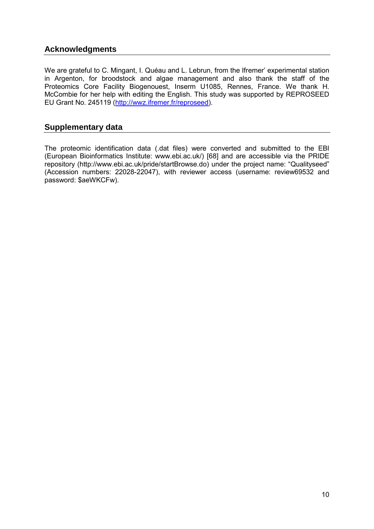# **Acknowledgments**

We are grateful to C. Mingant, I. Quéau and L. Lebrun, from the Ifremer' experimental station in Argenton, for broodstock and algae management and also thank the staff of the Proteomics Core Facility Biogenouest, Inserm U1085, Rennes, France. We thank H. McCombie for her help with editing the English. This study was supported by REPROSEED EU Grant No. 245119 [\(http://wwz.ifremer.fr/reproseed\)](http://wwz.ifremer.fr/reproseed).

## **Supplementary data**

The proteomic identification data (.dat files) were converted and submitted to the EBI (European Bioinformatics Institute: [www.ebi.ac.uk/\)](http://www.ebi.ac.uk/) [68] and are accessible via the PRIDE repository [\(http://www.ebi.ac.uk/pride/startBrowse.do\)](http://www.ebi.ac.uk/pride/startBrowse.do) under the project name: "Qualityseed" (Accession numbers: 22028-22047), with reviewer access (username: review69532 and password: \$aeWKCFw).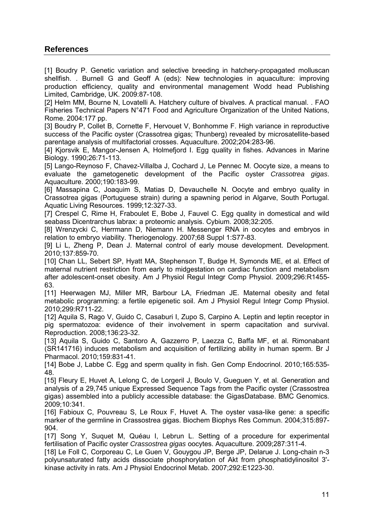# **References**

[1] Boudry P. Genetic variation and selective breeding in hatchery-propagated molluscan shellfish. . Burnell G and Geoff A (eds): New technologies in aquaculture: improving production efficiency, quality and environmental management Wodd head Publishing Limited, Cambridge, UK. 2009:87-108.

[2] Helm MM, Bourne N, Lovatelli A. Hatchery culture of bivalves. A practical manual. . FAO Fisheries Technical Papers N°471 Food and Agriculture Organization of the United Nations, Rome. 2004:177 pp.

[3] Boudry P, Collet B, Cornette F, Hervouet V, Bonhomme F. High variance in reproductive success of the Pacific oyster (Crassotrea gigas; Thunberg) revealed by microsatellite-based parentage analysis of multifactorial crosses. Aquaculture. 2002;204:283-96.

[4] Kjorsvik E, Mangor-Jensen A, Holmefjord I. Egg quality in fishes. Advances in Marine Biology. 1990;26:71-113.

[5] Lango-Reynoso F, Chavez-Villalba J, Cochard J, Le Pennec M. Oocyte size, a means to evaluate the gametogenetic development of the Pacific oyster *Crassotrea gigas*. Aquaculture. 2000;190:183-99.

[6] Massapina C, Joaquim S, Matias D, Devauchelle N. Oocyte and embryo quality in Crassotrea gigas (Portuguese strain) during a spawning period in Algarve, South Portugal. Aquatic Living Resources. 1999;12:327-33.

[7] Crespel C, Rime H, Fraboulet E, Bobe J, Fauvel C. Egg quality in domestical and wild seabass Dicentrarchus labrax: a proteomic analysis. Cybium. 2008;32:205.

[8] Wrenzycki C, Herrmann D, Niemann H. Messenger RNA in oocytes and embryos in relation to embryo viability. Theriogenology. 2007;68 Suppl 1:S77-83.

[9] Li L, Zheng P, Dean J. Maternal control of early mouse development. Development. 2010;137:859-70.

[10] Chan LL, Sebert SP, Hyatt MA, Stephenson T, Budge H, Symonds ME, et al. Effect of maternal nutrient restriction from early to midgestation on cardiac function and metabolism after adolescent-onset obesity. Am J Physiol Regul Integr Comp Physiol. 2009;296:R1455- 63.

[11] Heerwagen MJ, Miller MR, Barbour LA, Friedman JE. Maternal obesity and fetal metabolic programming: a fertile epigenetic soil. Am J Physiol Regul Integr Comp Physiol. 2010;299:R711-22.

[12] Aquila S, Rago V, Guido C, Casaburi I, Zupo S, Carpino A. Leptin and leptin receptor in pig spermatozoa: evidence of their involvement in sperm capacitation and survival. Reproduction. 2008;136:23-32.

[13] Aquila S, Guido C, Santoro A, Gazzerro P, Laezza C, Baffa MF, et al. Rimonabant (SR141716) induces metabolism and acquisition of fertilizing ability in human sperm. Br J Pharmacol. 2010;159:831-41.

[14] Bobe J, Labbe C. Egg and sperm quality in fish. Gen Comp Endocrinol. 2010;165:535-48.

[15] Fleury E, Huvet A, Lelong C, de Lorgeril J, Boulo V, Gueguen Y, et al. Generation and analysis of a 29,745 unique Expressed Sequence Tags from the Pacific oyster (Crassostrea gigas) assembled into a publicly accessible database: the GigasDatabase. BMC Genomics. 2009;10:341.

[16] Fabioux C, Pouvreau S, Le Roux F, Huvet A, The ovster vasa-like gene: a specific marker of the germline in Crassostrea gigas. Biochem Biophys Res Commun. 2004;315:897- 904.

[17] Song Y, Suquet M, Quéau I, Lebrun L. Setting of a procedure for experimental fertilisation of Pacific oyster *Crassostrea gigas* oocytes. Aquaculture. 2009;287:311-4.

[18] Le Foll C, Corporeau C, Le Guen V, Gouygou JP, Berge JP, Delarue J. Long-chain n-3 polyunsaturated fatty acids dissociate phosphorylation of Akt from phosphatidylinositol 3' kinase activity in rats. Am J Physiol Endocrinol Metab. 2007;292:E1223-30.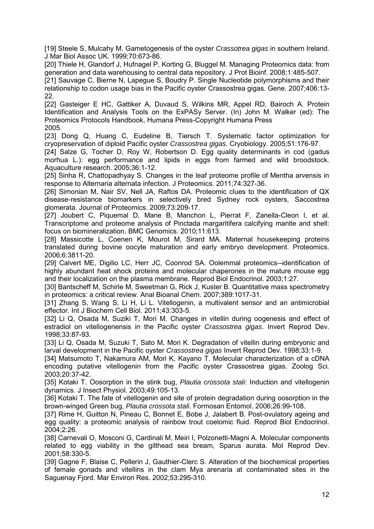[19] Steele S, Mulcahy M. Gametogenesis of the oyster *Crassotrea gigas* in southern Ireland. J Mar Biol Assoc UK. 1999;70:673-86.

[20] Thiele H, Glandorf J, Hufnagel P, Korting G, Bluggel M. Managing Proteomics data: from generation and data warehousing to central data repository. J Prot Bioinf. 2008;1:485-507.

[21] Sauvage C, Bierne N, Lapegue S, Boudry P. Single Nucleotide polymorphisms and their relationship to codon usage bias in the Pacific oyster Crassostrea gigas. Gene. 2007;406:13- 22.

[22] Gasteiger E HC, Gattiker A, Duvaud S, Wilkins MR, Appel RD, Bairoch A. Protein Identification and Analysis Tools on the ExPASy Server. (In) John M. Walker (ed): The Proteomics Protocols Handbook, Humana Press-Copyright Humana Press 2005.

[23] Dong Q, Huang C, Eudeline B, Tiersch T. Systematic factor optimization for cryopreservation of diploid Pacific oyster *Crassostrea gigas*. Cryobiology. 2005;51:176-97.

[24] Salze G, Tocher D, Roy W, Robertson D. Egg quality determinants in cod (gadus morhua L.): egg performance and lipids in eggs from farmed and wild broodstock. Aquaculture research. 2005;36:1-12.

[25] Sinha R, Chattopadhyay S. Changes in the leaf proteome profile of Mentha arvensis in response to Alternaria alternata infection. J Proteomics. 2011;74:327-36.

[26] Simonian M, Nair SV, Nell JA, Raftos DA. Proteomic clues to the identification of QX disease-resistance biomarkers in selectively bred Sydney rock oysters, Saccostrea glomerata. Journal of Proteomics. 2009;73:209-17.

[27] Joubert C, Piquemal D, Marie B, Manchon L, Pierrat F, Zanella-Cleon I, et al. Transcriptome and proteome analysis of Pinctada margaritifera calcifying mantle and shell: focus on biomineralization. BMC Genomics. 2010;11:613.

[28] Massicotte L, Coenen K, Mourot M, Sirard MA. Maternal housekeeping proteins translated during bovine oocyte maturation and early embryo development. Proteomics. 2006;6:3811-20.

[29] Calvert ME, Digilio LC, Herr JC, Coonrod SA. Oolemmal proteomics--identification of highly abundant heat shock proteins and molecular chaperones in the mature mouse egg and their localization on the plasma membrane. Reprod Biol Endocrinol. 2003;1:27.

[30] Bantscheff M, Schirle M, Sweetman G, Rick J, Kuster B. Quantitative mass spectrometry in proteomics: a critical review. Anal Bioanal Chem. 2007;389:1017-31.

[31] Zhang S, Wang S, Li H, Li L. Vitellogenin, a multivalent sensor and an antimicrobial effector. Int J Biochem Cell Biol. 2011;43:303-5.

[32] Li Q, Osada M, Suziki T, Mori M. Changes in vitellin during oogenesis and effect of estradiol on vitellogenensis in the Pacific oyster *Crassostrea gigas*. Invert Reprod Dev. 1998;33:87-93.

[33] Li Q, Osada M, Suzuki T, Sato M, Mori K. Degradation of vitellin during embryonic and larval development in the Pacific oyster *Crassostrea gigas* Invert Reprod Dev. 1998;33:1-9.

[34] Matsumoto T, Nakamura AM, Mori K, Kayano T. Molecular characterization of a cDNA encoding putative vitellogenin from the Pacific oyster Crassostrea gigas. Zoolog Sci. 2003;20:37-42.

[35] Kotaki T. Oosorption in the stink bug, *Plautia crossota stali*: Induction and vitellogenin dynamics. J Insect Physiol. 2003;49:105-13.

[36] Kotaki T. The fate of vitellogenin and site of protein degradation during oosorption in the brown-winged Green bug, *Plautia crossota stali*. Formosan Entomol. 2006;26:99-108.

[37] Rime H, Guitton N, Pineau C, Bonnet E, Bobe J, Jalabert B. Post-ovulatory ageing and egg quality: a proteomic analysis of rainbow trout coelomic fluid. Reprod Biol Endocrinol. 2004;2:26.

[38] Carnevali O, Mosconi G, Cardinali M, Meiri I, Polzonetti-Magni A. Molecular components related to egg viability in the gilthead sea bream, Sparus aurata. Mol Reprod Dev. 2001;58:330-5.

[39] Gagne F, Blaise C, Pellerin J, Gauthier-Clerc S. Alteration of the biochemical properties of female gonads and vitellins in the clam Mya arenaria at contaminated sites in the Saguenay Fjord. Mar Environ Res. 2002;53:295-310.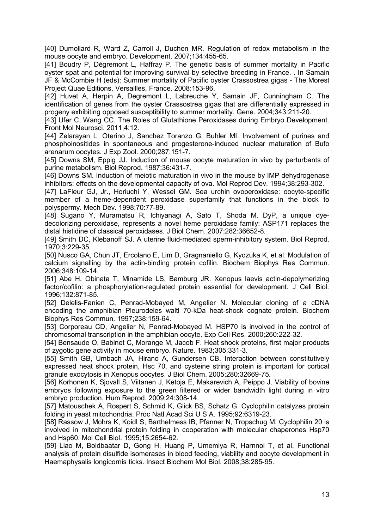[40] Dumollard R, Ward Z, Carroll J, Duchen MR. Regulation of redox metabolism in the mouse oocyte and embryo. Development. 2007;134:455-65.

[41] Boudry P, Dégremont L, Haffray P. The genetic basis of summer mortality in Pacific oyster spat and potential for improving survival by selective breeding in France. . In Samain JF & McCombie H (eds): Summer mortality of Pacific oyster Crassostrea gigas - The Morest Project Quae Editions, Versailles, France. 2008:153-96.

[42] Huvet A, Herpin A, Degremont L, Labreuche Y, Samain JF, Cunningham C. The identification of genes from the oyster Crassostrea gigas that are differentially expressed in progeny exhibiting opposed susceptibility to summer mortality. Gene. 2004;343:211-20.

[43] Ufer C, Wang CC. The Roles of Glutathione Peroxidases during Embryo Development. Front Mol Neurosci. 2011;4:12.

[44] Zelarayan L, Oterino J, Sanchez Toranzo G, Buhler MI. Involvement of purines and phosphoinositides in spontaneous and progesterone-induced nuclear maturation of Bufo arenarum oocytes. J Exp Zool. 2000;287:151-7.

[45] Downs SM, Eppig JJ. Induction of mouse oocyte maturation in vivo by perturbants of purine metabolism. Biol Reprod. 1987;36:431-7.

[46] Downs SM. Induction of meiotic maturation in vivo in the mouse by IMP dehydrogenase inhibitors: effects on the developmental capacity of ova. Mol Reprod Dev. 1994;38:293-302.

[47] LaFleur GJ, Jr., Horiuchi Y, Wessel GM. Sea urchin ovoperoxidase: oocyte-specific member of a heme-dependent peroxidase superfamily that functions in the block to polyspermy. Mech Dev. 1998;70:77-89.

[48] Sugano Y, Muramatsu R, Ichiyanagi A, Sato T, Shoda M. DyP, a unique dyedecolorizing peroxidase, represents a novel heme peroxidase family: ASP171 replaces the distal histidine of classical peroxidases. J Biol Chem. 2007;282:36652-8.

[49] Smith DC, Klebanoff SJ. A uterine fluid-mediated sperm-inhibitory system. Biol Reprod. 1970;3:229-35.

[50] Nusco GA, Chun JT, Ercolano E, Lim D, Gragnaniello G, Kyozuka K, et al. Modulation of calcium signalling by the actin-binding protein cofilin. Biochem Biophys Res Commun. 2006;348:109-14.

[51] Abe H, Obinata T, Minamide LS, Bamburg JR. Xenopus laevis actin-depolymerizing factor/cofilin: a phosphorylation-regulated protein essential for development. J Cell Biol. 1996;132:871-85.

[52] Delelis-Fanien C, Penrad-Mobayed M, Angelier N. Molecular cloning of a cDNA encoding the amphibian Pleurodeles waltl 70-kDa heat-shock cognate protein. Biochem Biophys Res Commun. 1997;238:159-64.

[53] Corporeau CD, Angelier N, Penrad-Mobayed M. HSP70 is involved in the control of chromosomal transcription in the amphibian oocyte. Exp Cell Res. 2000;260:222-32.

[54] Bensaude O, Babinet C, Morange M, Jacob F. Heat shock proteins, first major products of zygotic gene activity in mouse embryo. Nature. 1983;305:331-3.

[55] Smith GB, Umbach JA, Hirano A, Gundersen CB. Interaction between constitutively expressed heat shock protein, Hsc 70, and cysteine string protein is important for cortical granule exocytosis in Xenopus oocytes. J Biol Chem. 2005;280:32669-75.

[56] Korhonen K, Sjovall S, Viitanen J, Ketoja E, Makarevich A, Peippo J. Viability of bovine embryos following exposure to the green filtered or wider bandwidth light during in vitro embryo production. Hum Reprod. 2009;24:308-14.

[57] Matouschek A, Rospert S, Schmid K, Glick BS, Schatz G. Cyclophilin catalyzes protein folding in yeast mitochondria. Proc Natl Acad Sci U S A. 1995;92:6319-23.

[58] Rassow J, Mohrs K, Koidl S, Barthelmess IB, Pfanner N, Tropschug M. Cyclophilin 20 is involved in mitochondrial protein folding in cooperation with molecular chaperones Hsp70 and Hsp60. Mol Cell Biol. 1995;15:2654-62.

[59] Liao M, Boldbaatar D, Gong H, Huang P, Umemiya R, Harnnoi T, et al. Functional analysis of protein disulfide isomerases in blood feeding, viability and oocyte development in Haemaphysalis longicornis ticks. Insect Biochem Mol Biol. 2008;38:285-95.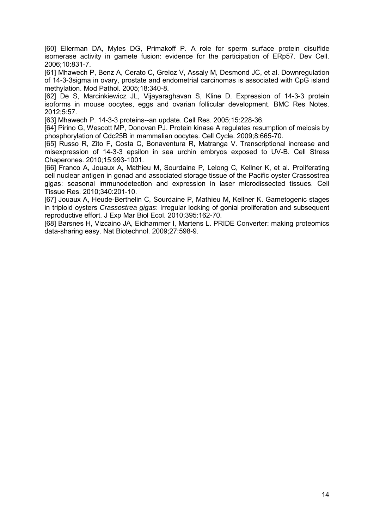[60] Ellerman DA, Myles DG, Primakoff P. A role for sperm surface protein disulfide isomerase activity in gamete fusion: evidence for the participation of ERp57. Dev Cell. 2006;10:831-7.

[61] Mhawech P, Benz A, Cerato C, Greloz V, Assaly M, Desmond JC, et al. Downregulation of 14-3-3sigma in ovary, prostate and endometrial carcinomas is associated with CpG island methylation. Mod Pathol. 2005;18:340-8.

[62] De S, Marcinkiewicz JL, Vijayaraghavan S, Kline D. Expression of 14-3-3 protein isoforms in mouse oocytes, eggs and ovarian follicular development. BMC Res Notes. 2012;5:57.

[63] Mhawech P. 14-3-3 proteins--an update. Cell Res. 2005;15:228-36.

[64] Pirino G, Wescott MP, Donovan PJ. Protein kinase A regulates resumption of meiosis by phosphorylation of Cdc25B in mammalian oocytes. Cell Cycle. 2009;8:665-70.

[65] Russo R, Zito F, Costa C, Bonaventura R, Matranga V. Transcriptional increase and misexpression of 14-3-3 epsilon in sea urchin embryos exposed to UV-B. Cell Stress Chaperones. 2010;15:993-1001.

[66] Franco A, Jouaux A, Mathieu M, Sourdaine P, Lelong C, Kellner K, et al. Proliferating cell nuclear antigen in gonad and associated storage tissue of the Pacific oyster Crassostrea gigas: seasonal immunodetection and expression in laser microdissected tissues. Cell Tissue Res. 2010;340:201-10.

[67] Jouaux A, Heude-Berthelin C, Sourdaine P, Mathieu M, Kellner K. Gametogenic stages in triploid oysters *Crassostrea gigas*: Irregular locking of gonial proliferation and subsequent reproductive effort. J Exp Mar Biol Ecol. 2010;395:162-70.

[68] Barsnes H, Vizcaino JA, Eidhammer I, Martens L. PRIDE Converter: making proteomics data-sharing easy. Nat Biotechnol. 2009;27:598-9.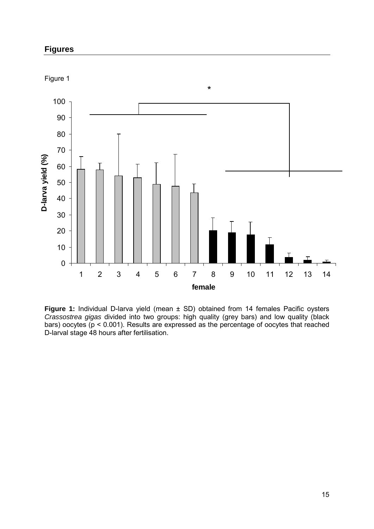# **Figures**



**Figure 1:** Individual D-larva yield (mean ± SD) obtained from 14 females Pacific oysters *Crassostrea gigas* divided into two groups: high quality (grey bars) and low quality (black bars) oocytes (p < 0.001). Results are expressed as the percentage of oocytes that reached D-larval stage 48 hours after fertilisation.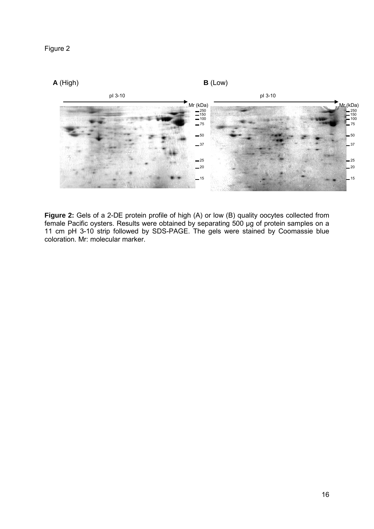



**Figure 2:** Gels of a 2-DE protein profile of high (A) or low (B) quality oocytes collected from female Pacific oysters. Results were obtained by separating 500 µg of protein samples on a 11 cm pH 3-10 strip followed by SDS-PAGE. The gels were stained by Coomassie blue coloration. Mr: molecular marker.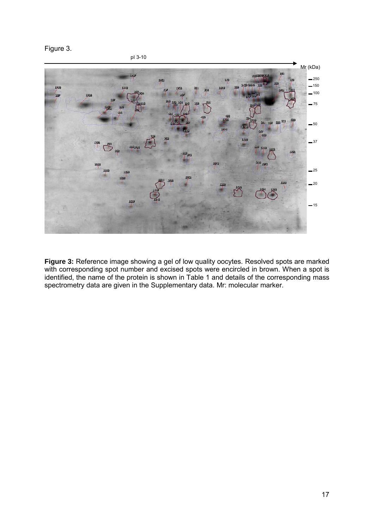Figure 3.



**Figure 3:** Reference image showing a gel of low quality oocytes. Resolved spots are marked with corresponding spot number and excised spots were encircled in brown. When a spot is identified, the name of the protein is shown in Table 1 and details of the corresponding mass spectrometry data are given in the Supplementary data. Mr: molecular marker.